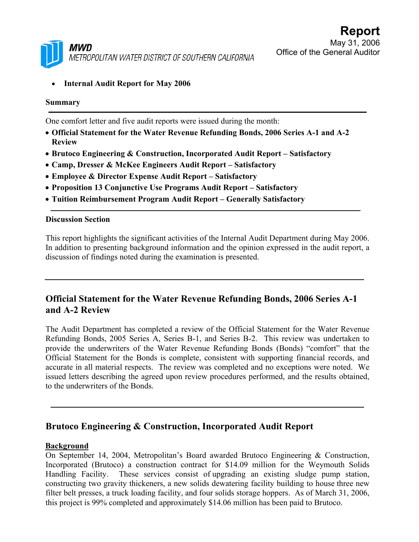

• **Internal Audit Report for May 2006** 

#### **Summary**

One comfort letter and five audit reports were issued during the month:

- **Official Statement for the Water Revenue Refunding Bonds, 2006 Series A-1 and A-2 Review**
- **Brutoco Engineering & Construction, Incorporated Audit Report Satisfactory**
- **Camp, Dresser & McKee Engineers Audit Report Satisfactory**
- **Employee & Director Expense Audit Report Satisfactory**
- **Proposition 13 Conjunctive Use Programs Audit Report Satisfactory**
- **Tuition Reimbursement Program Audit Report Generally Satisfactory**

#### **Discussion Section**

This report highlights the significant activities of the Internal Audit Department during May 2006. In addition to presenting background information and the opinion expressed in the audit report, a discussion of findings noted during the examination is presented.

# **Official Statement for the Water Revenue Refunding Bonds, 2006 Series A-1 and A-2 Review**

The Audit Department has completed a review of the Official Statement for the Water Revenue Refunding Bonds, 2005 Series A, Series B-1, and Series B-2. This review was undertaken to provide the underwriters of the Water Revenue Refunding Bonds (Bonds) "comfort" that the Official Statement for the Bonds is complete, consistent with supporting financial records, and accurate in all material respects. The review was completed and no exceptions were noted. We issued letters describing the agreed upon review procedures performed, and the results obtained, to the underwriters of the Bonds.

## **Brutoco Engineering & Construction, Incorporated Audit Report**

### **Background**

On September 14, 2004, Metropolitan's Board awarded Brutoco Engineering & Construction, Incorporated (Brutoco) a construction contract for \$14.09 million for the Weymouth Solids Handling Facility. These services consist of upgrading an existing sludge pump station, constructing two gravity thickeners, a new solids dewatering facility building to house three new filter belt presses, a truck loading facility, and four solids storage hoppers. As of March 31, 2006, this project is 99% completed and approximately \$14.06 million has been paid to Brutoco.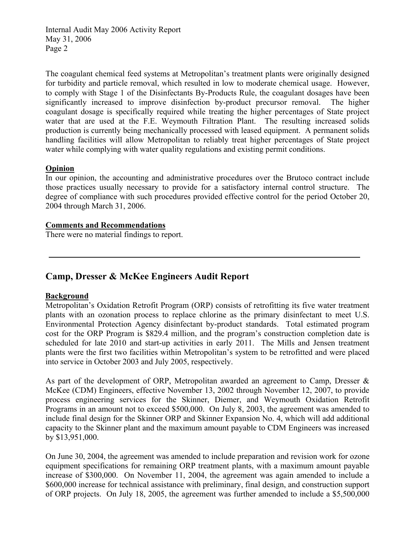The coagulant chemical feed systems at Metropolitan's treatment plants were originally designed for turbidity and particle removal, which resulted in low to moderate chemical usage. However, to comply with Stage 1 of the Disinfectants By-Products Rule, the coagulant dosages have been significantly increased to improve disinfection by-product precursor removal. The higher coagulant dosage is specifically required while treating the higher percentages of State project water that are used at the F.E. Weymouth Filtration Plant. The resulting increased solids production is currently being mechanically processed with leased equipment. A permanent solids handling facilities will allow Metropolitan to reliably treat higher percentages of State project water while complying with water quality regulations and existing permit conditions.

## **Opinion**

In our opinion, the accounting and administrative procedures over the Brutoco contract include those practices usually necessary to provide for a satisfactory internal control structure. The degree of compliance with such procedures provided effective control for the period October 20, 2004 through March 31, 2006.

### **Comments and Recommendations**

There were no material findings to report.

## **Camp, Dresser & McKee Engineers Audit Report**

### **Background**

Metropolitan's Oxidation Retrofit Program (ORP) consists of retrofitting its five water treatment plants with an ozonation process to replace chlorine as the primary disinfectant to meet U.S. Environmental Protection Agency disinfectant by-product standards. Total estimated program cost for the ORP Program is \$829.4 million, and the program's construction completion date is scheduled for late 2010 and start-up activities in early 2011. The Mills and Jensen treatment plants were the first two facilities within Metropolitan's system to be retrofitted and were placed into service in October 2003 and July 2005, respectively.

As part of the development of ORP, Metropolitan awarded an agreement to Camp, Dresser & McKee (CDM) Engineers, effective November 13, 2002 through November 12, 2007, to provide process engineering services for the Skinner, Diemer, and Weymouth Oxidation Retrofit Programs in an amount not to exceed \$500,000. On July 8, 2003, the agreement was amended to include final design for the Skinner ORP and Skinner Expansion No. 4, which will add additional capacity to the Skinner plant and the maximum amount payable to CDM Engineers was increased by \$13,951,000.

On June 30, 2004, the agreement was amended to include preparation and revision work for ozone equipment specifications for remaining ORP treatment plants, with a maximum amount payable increase of \$300,000. On November 11, 2004, the agreement was again amended to include a \$600,000 increase for technical assistance with preliminary, final design, and construction support of ORP projects. On July 18, 2005, the agreement was further amended to include a \$5,500,000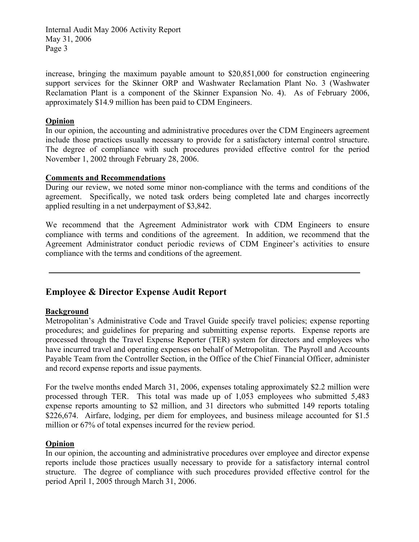increase, bringing the maximum payable amount to \$20,851,000 for construction engineering support services for the Skinner ORP and Washwater Reclamation Plant No. 3 (Washwater Reclamation Plant is a component of the Skinner Expansion No. 4). As of February 2006, approximately \$14.9 million has been paid to CDM Engineers.

## **Opinion**

In our opinion, the accounting and administrative procedures over the CDM Engineers agreement include those practices usually necessary to provide for a satisfactory internal control structure. The degree of compliance with such procedures provided effective control for the period November 1, 2002 through February 28, 2006.

### **Comments and Recommendations**

During our review, we noted some minor non-compliance with the terms and conditions of the agreement. Specifically, we noted task orders being completed late and charges incorrectly applied resulting in a net underpayment of \$3,842.

We recommend that the Agreement Administrator work with CDM Engineers to ensure compliance with terms and conditions of the agreement. In addition, we recommend that the Agreement Administrator conduct periodic reviews of CDM Engineer's activities to ensure compliance with the terms and conditions of the agreement.

# **Employee & Director Expense Audit Report**

### **Background**

Metropolitan's Administrative Code and Travel Guide specify travel policies; expense reporting procedures; and guidelines for preparing and submitting expense reports. Expense reports are processed through the Travel Expense Reporter (TER) system for directors and employees who have incurred travel and operating expenses on behalf of Metropolitan. The Payroll and Accounts Payable Team from the Controller Section, in the Office of the Chief Financial Officer, administer and record expense reports and issue payments.

For the twelve months ended March 31, 2006, expenses totaling approximately \$2.2 million were processed through TER. This total was made up of 1,053 employees who submitted 5,483 expense reports amounting to \$2 million, and 31 directors who submitted 149 reports totaling \$226,674. Airfare, lodging, per diem for employees, and business mileage accounted for \$1.5 million or 67% of total expenses incurred for the review period.

## **Opinion**

In our opinion, the accounting and administrative procedures over employee and director expense reports include those practices usually necessary to provide for a satisfactory internal control structure. The degree of compliance with such procedures provided effective control for the period April 1, 2005 through March 31, 2006.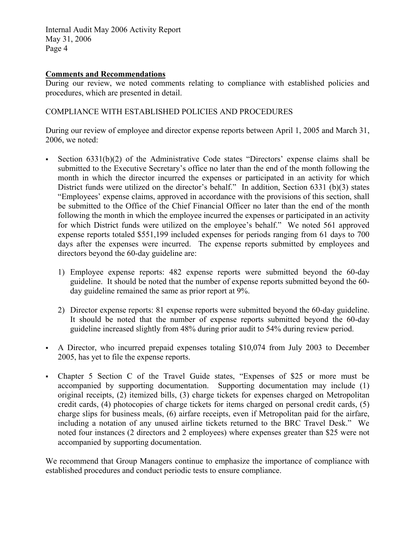## **Comments and Recommendations**

During our review, we noted comments relating to compliance with established policies and procedures, which are presented in detail.

## COMPLIANCE WITH ESTABLISHED POLICIES AND PROCEDURES

During our review of employee and director expense reports between April 1, 2005 and March 31, 2006, we noted:

- Section 6331(b)(2) of the Administrative Code states "Directors' expense claims shall be submitted to the Executive Secretary's office no later than the end of the month following the month in which the director incurred the expenses or participated in an activity for which District funds were utilized on the director's behalf." In addition, Section 6331 (b)(3) states "Employees' expense claims, approved in accordance with the provisions of this section, shall be submitted to the Office of the Chief Financial Officer no later than the end of the month following the month in which the employee incurred the expenses or participated in an activity for which District funds were utilized on the employee's behalf." We noted 561 approved expense reports totaled \$551,199 included expenses for periods ranging from 61 days to 700 days after the expenses were incurred. The expense reports submitted by employees and directors beyond the 60-day guideline are:
	- 1) Employee expense reports: 482 expense reports were submitted beyond the 60-day guideline. It should be noted that the number of expense reports submitted beyond the 60 day guideline remained the same as prior report at 9%.
	- 2) Director expense reports: 81 expense reports were submitted beyond the 60-day guideline. It should be noted that the number of expense reports submitted beyond the 60-day guideline increased slightly from 48% during prior audit to 54% during review period.
- A Director, who incurred prepaid expenses totaling \$10,074 from July 2003 to December 2005, has yet to file the expense reports.
- Chapter 5 Section C of the Travel Guide states, "Expenses of \$25 or more must be accompanied by supporting documentation. Supporting documentation may include (1) original receipts, (2) itemized bills, (3) charge tickets for expenses charged on Metropolitan credit cards, (4) photocopies of charge tickets for items charged on personal credit cards, (5) charge slips for business meals, (6) airfare receipts, even if Metropolitan paid for the airfare, including a notation of any unused airline tickets returned to the BRC Travel Desk." We noted four instances (2 directors and 2 employees) where expenses greater than \$25 were not accompanied by supporting documentation.

We recommend that Group Managers continue to emphasize the importance of compliance with established procedures and conduct periodic tests to ensure compliance.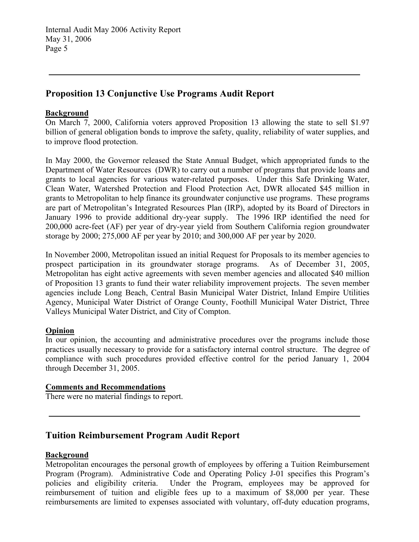# **Proposition 13 Conjunctive Use Programs Audit Report**

## **Background**

On March 7, 2000, California voters approved Proposition 13 allowing the state to sell \$1.97 billion of general obligation bonds to improve the safety, quality, reliability of water supplies, and to improve flood protection.

In May 2000, the Governor released the State Annual Budget, which appropriated funds to the Department of Water Resources (DWR) to carry out a number of programs that provide loans and grants to local agencies for various water-related purposes. Under this Safe Drinking Water, Clean Water, Watershed Protection and Flood Protection Act, DWR allocated \$45 million in grants to Metropolitan to help finance its groundwater conjunctive use programs. These programs are part of Metropolitan's Integrated Resources Plan (IRP), adopted by its Board of Directors in January 1996 to provide additional dry-year supply. The 1996 IRP identified the need for 200,000 acre-feet (AF) per year of dry-year yield from Southern California region groundwater storage by 2000; 275,000 AF per year by 2010; and 300,000 AF per year by 2020.

In November 2000, Metropolitan issued an initial Request for Proposals to its member agencies to prospect participation in its groundwater storage programs. As of December 31, 2005, Metropolitan has eight active agreements with seven member agencies and allocated \$40 million of Proposition 13 grants to fund their water reliability improvement projects. The seven member agencies include Long Beach, Central Basin Municipal Water District, Inland Empire Utilities Agency, Municipal Water District of Orange County, Foothill Municipal Water District, Three Valleys Municipal Water District, and City of Compton.

### **Opinion**

In our opinion, the accounting and administrative procedures over the programs include those practices usually necessary to provide for a satisfactory internal control structure. The degree of compliance with such procedures provided effective control for the period January 1, 2004 through December 31, 2005.

## **Comments and Recommendations**

There were no material findings to report.

## **Tuition Reimbursement Program Audit Report**

## **Background**

Metropolitan encourages the personal growth of employees by offering a Tuition Reimbursement Program (Program). Administrative Code and Operating Policy J-01 specifies this Program's policies and eligibility criteria. Under the Program, employees may be approved for reimbursement of tuition and eligible fees up to a maximum of \$8,000 per year. These reimbursements are limited to expenses associated with voluntary, off-duty education programs,